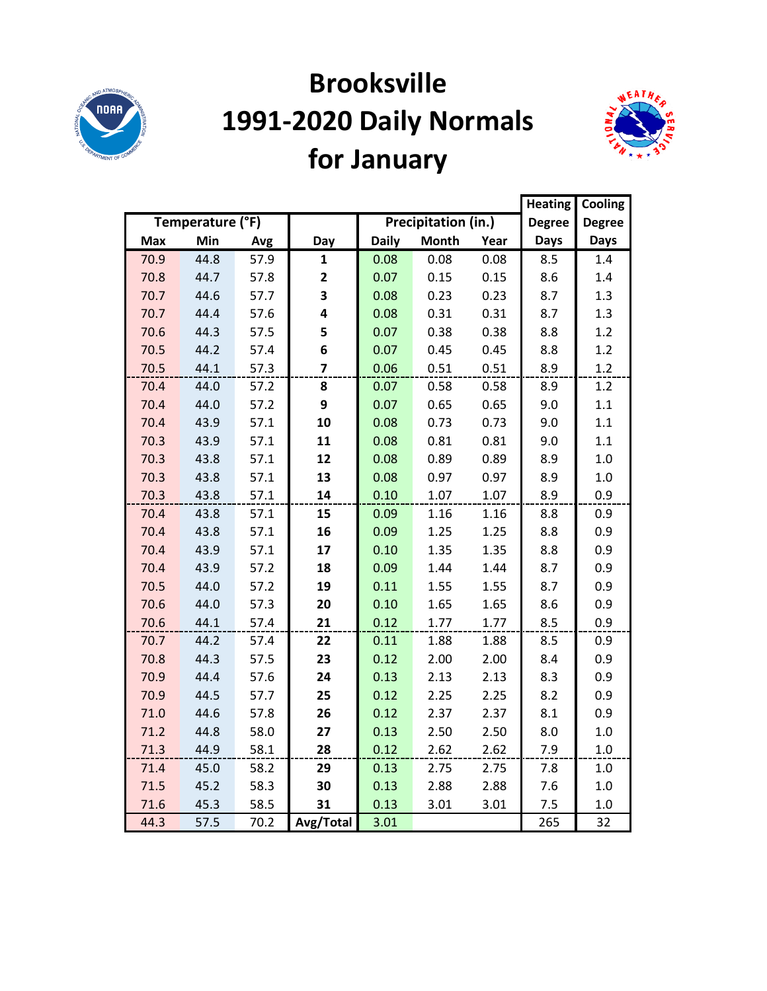

# **Brooksville 1991-2020 Daily Normals for January**



|            |                  |      | <b>Heating</b>          | Cooling      |                     |      |               |               |
|------------|------------------|------|-------------------------|--------------|---------------------|------|---------------|---------------|
|            | Temperature (°F) |      |                         |              | Precipitation (in.) |      | <b>Degree</b> | <b>Degree</b> |
| <b>Max</b> | Min              | Avg  | Day                     | <b>Daily</b> | <b>Month</b>        | Year | <b>Days</b>   | <b>Days</b>   |
| 70.9       | 44.8             | 57.9 | $\mathbf{1}$            | 0.08         | 0.08                | 0.08 | 8.5           | 1.4           |
| 70.8       | 44.7             | 57.8 | $\mathbf{2}$            | 0.07         | 0.15                | 0.15 | 8.6           | 1.4           |
| 70.7       | 44.6             | 57.7 | 3                       | 0.08         | 0.23                | 0.23 | 8.7           | 1.3           |
| 70.7       | 44.4             | 57.6 | 4                       | 0.08         | 0.31                | 0.31 | 8.7           | 1.3           |
| 70.6       | 44.3             | 57.5 | 5                       | 0.07         | 0.38                | 0.38 | 8.8           | 1.2           |
| 70.5       | 44.2             | 57.4 | 6                       | 0.07         | 0.45                | 0.45 | 8.8           | 1.2           |
| 70.5       | 44.1             | 57.3 | $\overline{\mathbf{z}}$ | 0.06         | 0.51                | 0.51 | 8.9           | 1.2           |
| 70.4       | 44.0             | 57.2 | 8                       | 0.07         | 0.58                | 0.58 | 8.9           | 1.2           |
| 70.4       | 44.0             | 57.2 | 9                       | 0.07         | 0.65                | 0.65 | 9.0           | 1.1           |
| 70.4       | 43.9             | 57.1 | 10                      | 0.08         | 0.73                | 0.73 | 9.0           | 1.1           |
| 70.3       | 43.9             | 57.1 | 11                      | 0.08         | 0.81                | 0.81 | 9.0           | 1.1           |
| 70.3       | 43.8             | 57.1 | 12                      | 0.08         | 0.89                | 0.89 | 8.9           | 1.0           |
| 70.3       | 43.8             | 57.1 | 13                      | 0.08         | 0.97                | 0.97 | 8.9           | 1.0           |
| 70.3       | 43.8             | 57.1 | 14                      | 0.10         | 1.07                | 1.07 | 8.9           | 0.9           |
| 70.4       | 43.8             | 57.1 | 15                      | 0.09         | 1.16                | 1.16 | 8.8           | 0.9           |
| 70.4       | 43.8             | 57.1 | 16                      | 0.09         | 1.25                | 1.25 | 8.8           | 0.9           |
| 70.4       | 43.9             | 57.1 | 17                      | 0.10         | 1.35                | 1.35 | 8.8           | 0.9           |
| 70.4       | 43.9             | 57.2 | 18                      | 0.09         | 1.44                | 1.44 | 8.7           | 0.9           |
| 70.5       | 44.0             | 57.2 | 19                      | 0.11         | 1.55                | 1.55 | 8.7           | 0.9           |
| 70.6       | 44.0             | 57.3 | 20                      | 0.10         | 1.65                | 1.65 | 8.6           | 0.9           |
| 70.6       | 44.1             | 57.4 | 21                      | 0.12         | 1.77                | 1.77 | 8.5           | 0.9           |
| 70.7       | 44.2             | 57.4 | 22                      | 0.11         | 1.88                | 1.88 | 8.5           | 0.9           |
| 70.8       | 44.3             | 57.5 | 23                      | 0.12         | 2.00                | 2.00 | 8.4           | 0.9           |
| 70.9       | 44.4             | 57.6 | 24                      | 0.13         | 2.13                | 2.13 | 8.3           | 0.9           |
| 70.9       | 44.5             | 57.7 | 25                      | 0.12         | 2.25                | 2.25 | 8.2           | 0.9           |
| 71.0       | 44.6             | 57.8 | 26                      | 0.12         | 2.37                | 2.37 | 8.1           | 0.9           |
| 71.2       | 44.8             | 58.0 | 27                      | 0.13         | 2.50                | 2.50 | 8.0           | 1.0           |
| 71.3       | 44.9             | 58.1 | 28                      | 0.12         | 2.62                | 2.62 | 7.9           | $1.0\,$       |
| 71.4       | 45.0             | 58.2 | 29                      | 0.13         | 2.75                | 2.75 | 7.8           | 1.0           |
| 71.5       | 45.2             | 58.3 | 30                      | 0.13         | 2.88                | 2.88 | 7.6           | 1.0           |
| 71.6       | 45.3             | 58.5 | 31                      | 0.13         | 3.01                | 3.01 | 7.5           | 1.0           |
| 44.3       | 57.5             | 70.2 | Avg/Total               | 3.01         |                     |      | 265           | 32            |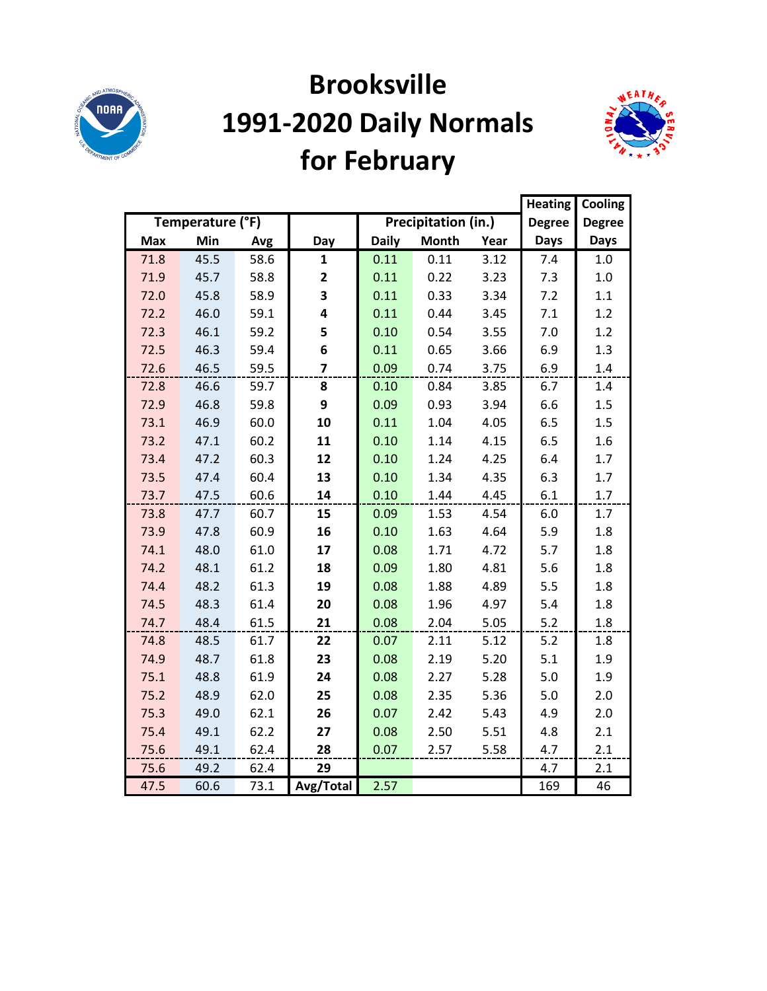

## **Brooksville 1991-2020 Daily Normals for February**



|            |                  |      |                         |              |                     | <b>Heating</b> | Cooling       |               |
|------------|------------------|------|-------------------------|--------------|---------------------|----------------|---------------|---------------|
|            | Temperature (°F) |      |                         |              | Precipitation (in.) |                | <b>Degree</b> | <b>Degree</b> |
| <b>Max</b> | Min              | Avg  | Day                     | <b>Daily</b> | <b>Month</b>        | Year           | <b>Days</b>   | <b>Days</b>   |
| 71.8       | 45.5             | 58.6 | $\mathbf{1}$            | 0.11         | 0.11                | 3.12           | 7.4           | 1.0           |
| 71.9       | 45.7             | 58.8 | $\overline{2}$          | 0.11         | 0.22                | 3.23           | 7.3           | 1.0           |
| 72.0       | 45.8             | 58.9 | 3                       | 0.11         | 0.33                | 3.34           | 7.2           | 1.1           |
| 72.2       | 46.0             | 59.1 | 4                       | 0.11         | 0.44                | 3.45           | 7.1           | 1.2           |
| 72.3       | 46.1             | 59.2 | 5                       | 0.10         | 0.54                | 3.55           | 7.0           | 1.2           |
| 72.5       | 46.3             | 59.4 | 6                       | 0.11         | 0.65                | 3.66           | 6.9           | 1.3           |
| 72.6       | 46.5             | 59.5 | $\overline{\mathbf{z}}$ | 0.09         | 0.74                | 3.75           | 6.9           | 1.4           |
| 72.8       | 46.6             | 59.7 | 8                       | 0.10         | 0.84                | 3.85           | 6.7           | 1.4           |
| 72.9       | 46.8             | 59.8 | 9                       | 0.09         | 0.93                | 3.94           | 6.6           | 1.5           |
| 73.1       | 46.9             | 60.0 | 10                      | 0.11         | 1.04                | 4.05           | 6.5           | 1.5           |
| 73.2       | 47.1             | 60.2 | 11                      | 0.10         | 1.14                | 4.15           | 6.5           | 1.6           |
| 73.4       | 47.2             | 60.3 | 12                      | 0.10         | 1.24                | 4.25           | 6.4           | 1.7           |
| 73.5       | 47.4             | 60.4 | 13                      | 0.10         | 1.34                | 4.35           | 6.3           | 1.7           |
| 73.7       | 47.5             | 60.6 | 14                      | 0.10         | 1.44                | 4.45           | 6.1           | 1.7           |
| 73.8       | 47.7             | 60.7 | 15                      | 0.09         | 1.53                | 4.54           | 6.0           | 1.7           |
| 73.9       | 47.8             | 60.9 | 16                      | 0.10         | 1.63                | 4.64           | 5.9           | 1.8           |
| 74.1       | 48.0             | 61.0 | 17                      | 0.08         | 1.71                | 4.72           | 5.7           | 1.8           |
| 74.2       | 48.1             | 61.2 | 18                      | 0.09         | 1.80                | 4.81           | 5.6           | 1.8           |
| 74.4       | 48.2             | 61.3 | 19                      | 0.08         | 1.88                | 4.89           | 5.5           | 1.8           |
| 74.5       | 48.3             | 61.4 | 20                      | 0.08         | 1.96                | 4.97           | 5.4           | 1.8           |
| 74.7       | 48.4             | 61.5 | 21                      | 0.08         | 2.04                | 5.05           | 5.2           | 1.8           |
| 74.8       | 48.5             | 61.7 | 22                      | 0.07         | 2.11                | 5.12           | 5.2           | 1.8           |
| 74.9       | 48.7             | 61.8 | 23                      | 0.08         | 2.19                | 5.20           | 5.1           | 1.9           |
| 75.1       | 48.8             | 61.9 | 24                      | 0.08         | 2.27                | 5.28           | 5.0           | 1.9           |
| 75.2       | 48.9             | 62.0 | 25                      | 0.08         | 2.35                | 5.36           | 5.0           | 2.0           |
| 75.3       | 49.0             | 62.1 | 26                      | 0.07         | 2.42                | 5.43           | 4.9           | 2.0           |
| 75.4       | 49.1             | 62.2 | 27                      | 0.08         | 2.50                | 5.51           | 4.8           | 2.1           |
| 75.6       | 49.1             | 62.4 | 28                      | 0.07         | 2.57                | 5.58           | 4.7           | 2.1           |
| 75.6       | 49.2             | 62.4 | 29                      |              |                     |                | 4.7           | 2.1           |
| 47.5       | 60.6             | 73.1 | Avg/Total               | 2.57         |                     |                | 169           | 46            |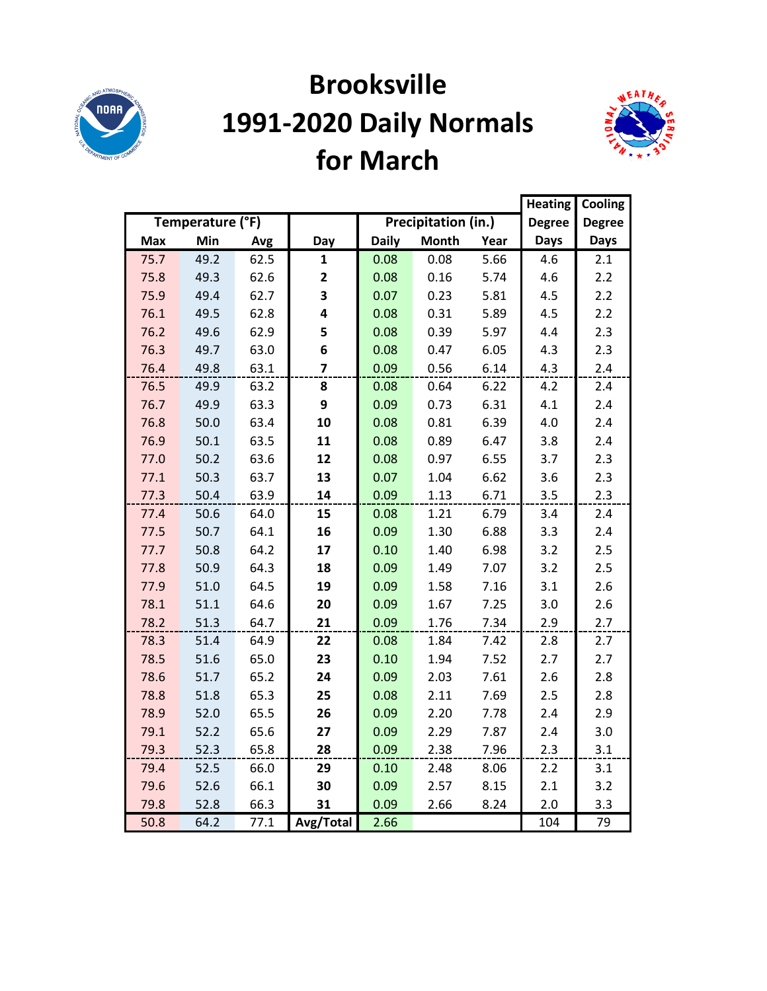

### **Brooksville 1991-2020 Daily Normals for March**



|      |                  |      |                         |              |                     |      | <b>Heating</b> | Cooling       |
|------|------------------|------|-------------------------|--------------|---------------------|------|----------------|---------------|
|      | Temperature (°F) |      |                         |              | Precipitation (in.) |      | Degree         | <b>Degree</b> |
| Max  | Min              | Avg  | Day                     | <b>Daily</b> | <b>Month</b>        | Year | <b>Days</b>    | <b>Days</b>   |
| 75.7 | 49.2             | 62.5 | $\mathbf{1}$            | 0.08         | 0.08                | 5.66 | 4.6            | 2.1           |
| 75.8 | 49.3             | 62.6 | $\mathbf{2}$            | 0.08         | 0.16                | 5.74 | 4.6            | 2.2           |
| 75.9 | 49.4             | 62.7 | 3                       | 0.07         | 0.23                | 5.81 | 4.5            | 2.2           |
| 76.1 | 49.5             | 62.8 | 4                       | 0.08         | 0.31                | 5.89 | 4.5            | 2.2           |
| 76.2 | 49.6             | 62.9 | 5                       | 0.08         | 0.39                | 5.97 | 4.4            | 2.3           |
| 76.3 | 49.7             | 63.0 | 6                       | 0.08         | 0.47                | 6.05 | 4.3            | 2.3           |
| 76.4 | 49.8             | 63.1 | $\overline{\mathbf{z}}$ | 0.09         | 0.56                | 6.14 | 4.3            | 2.4           |
| 76.5 | 49.9             | 63.2 | 8                       | 0.08         | 0.64                | 6.22 | 4.2            | 2.4           |
| 76.7 | 49.9             | 63.3 | 9                       | 0.09         | 0.73                | 6.31 | 4.1            | 2.4           |
| 76.8 | 50.0             | 63.4 | 10                      | 0.08         | 0.81                | 6.39 | 4.0            | 2.4           |
| 76.9 | 50.1             | 63.5 | 11                      | 0.08         | 0.89                | 6.47 | 3.8            | 2.4           |
| 77.0 | 50.2             | 63.6 | 12                      | 0.08         | 0.97                | 6.55 | 3.7            | 2.3           |
| 77.1 | 50.3             | 63.7 | 13                      | 0.07         | 1.04                | 6.62 | 3.6            | 2.3           |
| 77.3 | 50.4             | 63.9 | 14                      | 0.09         | 1.13                | 6.71 | 3.5            | 2.3           |
| 77.4 | 50.6             | 64.0 | 15                      | 0.08         | 1.21                | 6.79 | 3.4            | 2.4           |
| 77.5 | 50.7             | 64.1 | 16                      | 0.09         | 1.30                | 6.88 | 3.3            | 2.4           |
| 77.7 | 50.8             | 64.2 | 17                      | 0.10         | 1.40                | 6.98 | 3.2            | 2.5           |
| 77.8 | 50.9             | 64.3 | 18                      | 0.09         | 1.49                | 7.07 | 3.2            | 2.5           |
| 77.9 | 51.0             | 64.5 | 19                      | 0.09         | 1.58                | 7.16 | 3.1            | 2.6           |
| 78.1 | 51.1             | 64.6 | 20                      | 0.09         | 1.67                | 7.25 | 3.0            | 2.6           |
| 78.2 | 51.3             | 64.7 | 21                      | 0.09         | 1.76                | 7.34 | 2.9            | 2.7           |
| 78.3 | 51.4             | 64.9 | 22                      | 0.08         | 1.84                | 7.42 | 2.8            | 2.7           |
| 78.5 | 51.6             | 65.0 | 23                      | 0.10         | 1.94                | 7.52 | 2.7            | 2.7           |
| 78.6 | 51.7             | 65.2 | 24                      | 0.09         | 2.03                | 7.61 | 2.6            | 2.8           |
| 78.8 | 51.8             | 65.3 | 25                      | 0.08         | 2.11                | 7.69 | 2.5            | 2.8           |
| 78.9 | 52.0             | 65.5 | 26                      | 0.09         | 2.20                | 7.78 | 2.4            | 2.9           |
| 79.1 | 52.2             | 65.6 | 27                      | 0.09         | 2.29                | 7.87 | 2.4            | 3.0           |
| 79.3 | 52.3             | 65.8 | 28                      | 0.09         | 2.38                | 7.96 | 2.3            | 3.1           |
| 79.4 | 52.5             | 66.0 | 29                      | 0.10         | 2.48                | 8.06 | 2.2            | 3.1           |
| 79.6 | 52.6             | 66.1 | 30                      | 0.09         | 2.57                | 8.15 | 2.1            | 3.2           |
| 79.8 | 52.8             | 66.3 | 31                      | 0.09         | 2.66                | 8.24 | 2.0            | 3.3           |
| 50.8 | 64.2             | 77.1 | Avg/Total               | 2.66         |                     |      | 104            | 79            |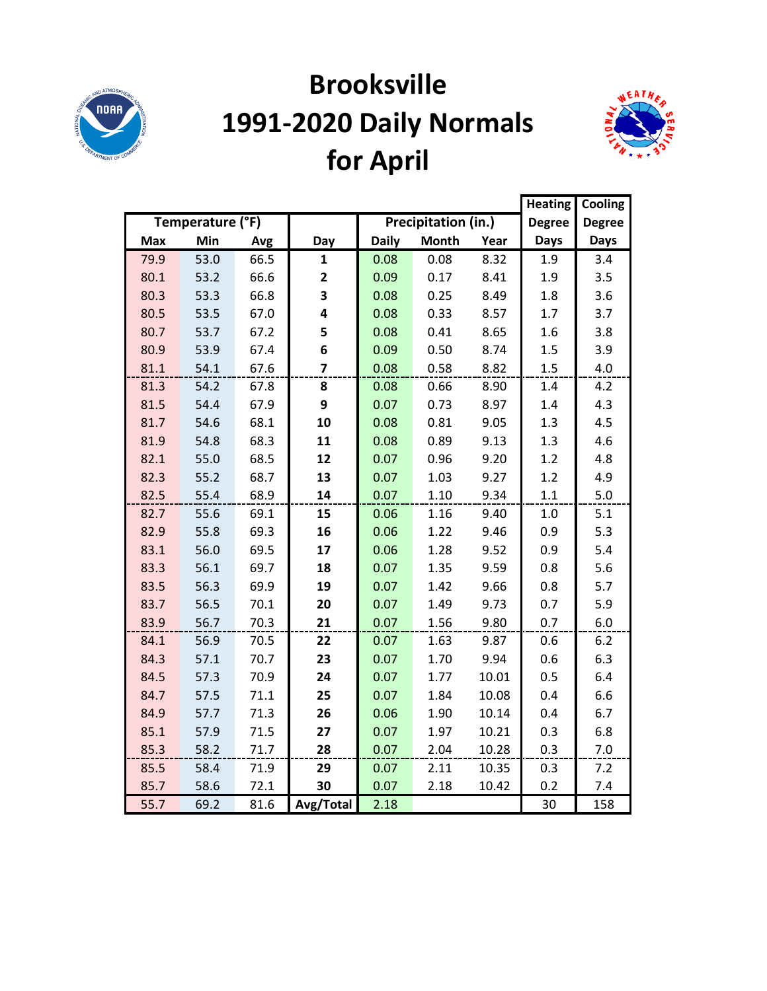

# **Brooksville 1991-2020 Daily Normals for April**



|            |                  |      |                |              |                     |       | <b>Heating</b> | Cooling       |
|------------|------------------|------|----------------|--------------|---------------------|-------|----------------|---------------|
|            | Temperature (°F) |      |                |              | Precipitation (in.) |       | <b>Degree</b>  | <b>Degree</b> |
| <b>Max</b> | Min              | Avg  | Day            | <b>Daily</b> | <b>Month</b>        | Year  | <b>Days</b>    | Days          |
| 79.9       | 53.0             | 66.5 | $\mathbf{1}$   | 0.08         | 0.08                | 8.32  | 1.9            | 3.4           |
| 80.1       | 53.2             | 66.6 | 2              | 0.09         | 0.17                | 8.41  | 1.9            | 3.5           |
| 80.3       | 53.3             | 66.8 | 3              | 0.08         | 0.25                | 8.49  | 1.8            | 3.6           |
| 80.5       | 53.5             | 67.0 | 4              | 0.08         | 0.33                | 8.57  | 1.7            | 3.7           |
| 80.7       | 53.7             | 67.2 | 5              | 0.08         | 0.41                | 8.65  | 1.6            | 3.8           |
| 80.9       | 53.9             | 67.4 | 6              | 0.09         | 0.50                | 8.74  | 1.5            | 3.9           |
| 81.1       | 54.1             | 67.6 | $\overline{7}$ | 0.08         | 0.58                | 8.82  | 1.5            | 4.0           |
| 81.3       | 54.2             | 67.8 | 8              | 0.08         | 0.66                | 8.90  | 1.4            | 4.2           |
| 81.5       | 54.4             | 67.9 | 9              | 0.07         | 0.73                | 8.97  | 1.4            | 4.3           |
| 81.7       | 54.6             | 68.1 | 10             | 0.08         | 0.81                | 9.05  | 1.3            | 4.5           |
| 81.9       | 54.8             | 68.3 | 11             | 0.08         | 0.89                | 9.13  | 1.3            | 4.6           |
| 82.1       | 55.0             | 68.5 | 12             | 0.07         | 0.96                | 9.20  | 1.2            | 4.8           |
| 82.3       | 55.2             | 68.7 | 13             | 0.07         | 1.03                | 9.27  | 1.2            | 4.9           |
| 82.5       | 55.4             | 68.9 | 14             | 0.07         | 1.10                | 9.34  | 1.1            | 5.0           |
| 82.7       | 55.6             | 69.1 | 15             | 0.06         | 1.16                | 9.40  | 1.0            | 5.1           |
| 82.9       | 55.8             | 69.3 | 16             | 0.06         | 1.22                | 9.46  | 0.9            | 5.3           |
| 83.1       | 56.0             | 69.5 | 17             | 0.06         | 1.28                | 9.52  | 0.9            | 5.4           |
| 83.3       | 56.1             | 69.7 | 18             | 0.07         | 1.35                | 9.59  | 0.8            | 5.6           |
| 83.5       | 56.3             | 69.9 | 19             | 0.07         | 1.42                | 9.66  | 0.8            | 5.7           |
| 83.7       | 56.5             | 70.1 | 20             | 0.07         | 1.49                | 9.73  | 0.7            | 5.9           |
| 83.9       | 56.7             | 70.3 | 21             | 0.07         | 1.56                | 9.80  | 0.7            | 6.0           |
| 84.1       | 56.9             | 70.5 | 22             | 0.07         | 1.63                | 9.87  | 0.6            | 6.2           |
| 84.3       | 57.1             | 70.7 | 23             | 0.07         | 1.70                | 9.94  | 0.6            | 6.3           |
| 84.5       | 57.3             | 70.9 | 24             | 0.07         | 1.77                | 10.01 | 0.5            | 6.4           |
| 84.7       | 57.5             | 71.1 | 25             | 0.07         | 1.84                | 10.08 | 0.4            | 6.6           |
| 84.9       | 57.7             | 71.3 | 26             | 0.06         | 1.90                | 10.14 | 0.4            | 6.7           |
| 85.1       | 57.9             | 71.5 | 27             | 0.07         | 1.97                | 10.21 | 0.3            | 6.8           |
| 85.3       | 58.2             | 71.7 | 28             | 0.07         | 2.04                | 10.28 | 0.3            | 7.0           |
| 85.5       | 58.4             | 71.9 | 29             | 0.07         | 2.11                | 10.35 | 0.3            | 7.2           |
| 85.7       | 58.6             | 72.1 | 30             | 0.07         | 2.18                | 10.42 | 0.2            | 7.4           |
| 55.7       | 69.2             | 81.6 | Avg/Total      | 2.18         |                     |       | 30             | 158           |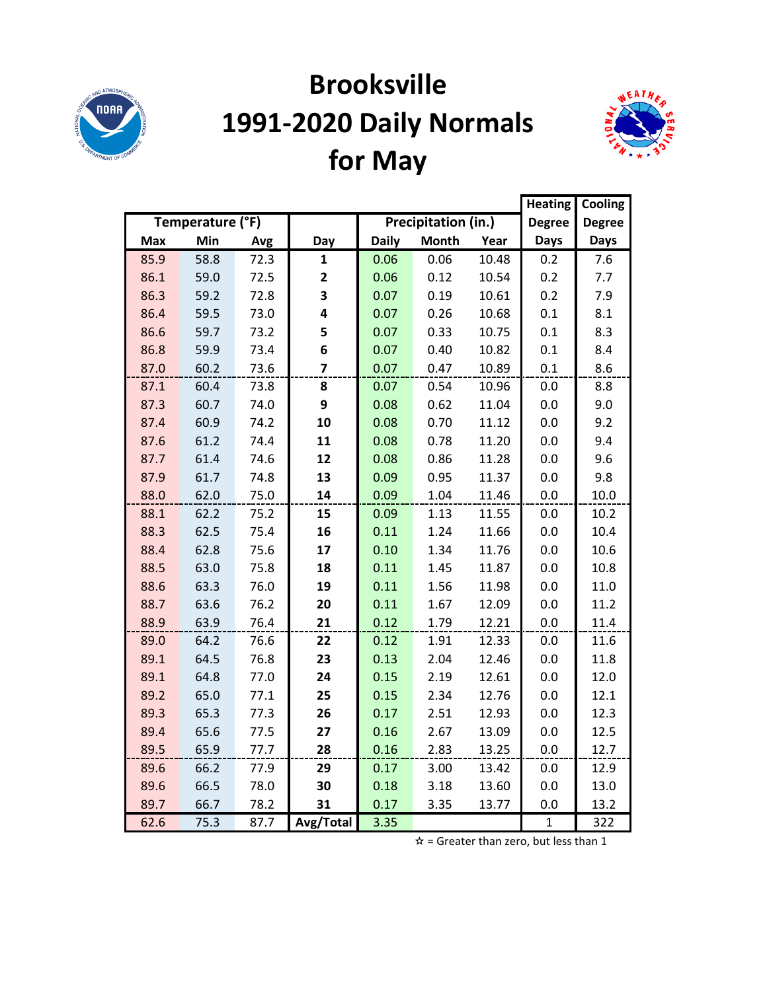

# **Brooksville 1991-2020 Daily Normals for May**



|            |                  |      | <b>Heating</b>          | Cooling      |                     |       |               |               |
|------------|------------------|------|-------------------------|--------------|---------------------|-------|---------------|---------------|
|            | Temperature (°F) |      |                         |              | Precipitation (in.) |       | <b>Degree</b> | <b>Degree</b> |
| <b>Max</b> | Min              | Avg  | Day                     | <b>Daily</b> | <b>Month</b>        | Year  | <b>Days</b>   | <b>Days</b>   |
| 85.9       | 58.8             | 72.3 | $\mathbf{1}$            | 0.06         | 0.06                | 10.48 | 0.2           | 7.6           |
| 86.1       | 59.0             | 72.5 | $\mathbf{2}$            | 0.06         | 0.12                | 10.54 | 0.2           | 7.7           |
| 86.3       | 59.2             | 72.8 | 3                       | 0.07         | 0.19                | 10.61 | 0.2           | 7.9           |
| 86.4       | 59.5             | 73.0 | 4                       | 0.07         | 0.26                | 10.68 | 0.1           | 8.1           |
| 86.6       | 59.7             | 73.2 | 5                       | 0.07         | 0.33                | 10.75 | 0.1           | 8.3           |
| 86.8       | 59.9             | 73.4 | 6                       | 0.07         | 0.40                | 10.82 | 0.1           | 8.4           |
| 87.0       | 60.2             | 73.6 | $\overline{\mathbf{z}}$ | 0.07         | 0.47                | 10.89 | 0.1           | 8.6           |
| 87.1       | 60.4             | 73.8 | 8                       | 0.07         | 0.54                | 10.96 | 0.0           | 8.8           |
| 87.3       | 60.7             | 74.0 | 9                       | 0.08         | 0.62                | 11.04 | 0.0           | 9.0           |
| 87.4       | 60.9             | 74.2 | 10                      | 0.08         | 0.70                | 11.12 | 0.0           | 9.2           |
| 87.6       | 61.2             | 74.4 | 11                      | 0.08         | 0.78                | 11.20 | 0.0           | 9.4           |
| 87.7       | 61.4             | 74.6 | 12                      | 0.08         | 0.86                | 11.28 | 0.0           | 9.6           |
| 87.9       | 61.7             | 74.8 | 13                      | 0.09         | 0.95                | 11.37 | 0.0           | 9.8           |
| 88.0       | 62.0             | 75.0 | 14                      | 0.09         | 1.04                | 11.46 | 0.0           | 10.0          |
| 88.1       | 62.2             | 75.2 | 15                      | 0.09         | 1.13                | 11.55 | 0.0           | 10.2          |
| 88.3       | 62.5             | 75.4 | 16                      | 0.11         | 1.24                | 11.66 | 0.0           | 10.4          |
| 88.4       | 62.8             | 75.6 | 17                      | 0.10         | 1.34                | 11.76 | 0.0           | 10.6          |
| 88.5       | 63.0             | 75.8 | 18                      | 0.11         | 1.45                | 11.87 | 0.0           | 10.8          |
| 88.6       | 63.3             | 76.0 | 19                      | 0.11         | 1.56                | 11.98 | 0.0           | 11.0          |
| 88.7       | 63.6             | 76.2 | 20                      | 0.11         | 1.67                | 12.09 | 0.0           | 11.2          |
| 88.9       | 63.9             | 76.4 | 21                      | 0.12         | 1.79                | 12.21 | 0.0           | 11.4          |
| 89.0       | 64.2             | 76.6 | 22                      | 0.12         | 1.91                | 12.33 | 0.0           | 11.6          |
| 89.1       | 64.5             | 76.8 | 23                      | 0.13         | 2.04                | 12.46 | 0.0           | 11.8          |
| 89.1       | 64.8             | 77.0 | 24                      | 0.15         | 2.19                | 12.61 | 0.0           | 12.0          |
| 89.2       | 65.0             | 77.1 | 25                      | 0.15         | 2.34                | 12.76 | 0.0           | 12.1          |
| 89.3       | 65.3             | 77.3 | 26                      | 0.17         | 2.51                | 12.93 | 0.0           | 12.3          |
| 89.4       | 65.6             | 77.5 | 27                      | 0.16         | 2.67                | 13.09 | 0.0           | 12.5          |
| 89.5       | 65.9             | 77.7 | 28                      | 0.16         | 2.83                | 13.25 | 0.0           | 12.7          |
| 89.6       | 66.2             | 77.9 | 29                      | 0.17         | 3.00                | 13.42 | 0.0           | 12.9          |
| 89.6       | 66.5             | 78.0 | 30                      | 0.18         | 3.18                | 13.60 | 0.0           | 13.0          |
| 89.7       | 66.7             | 78.2 | 31                      | 0.17         | 3.35                | 13.77 | 0.0           | 13.2          |
| 62.6       | 75.3             | 87.7 | Avg/Total               | 3.35         |                     |       | $\mathbf{1}$  | 322           |

 $\hat{x}$  = Greater than zero, but less than 1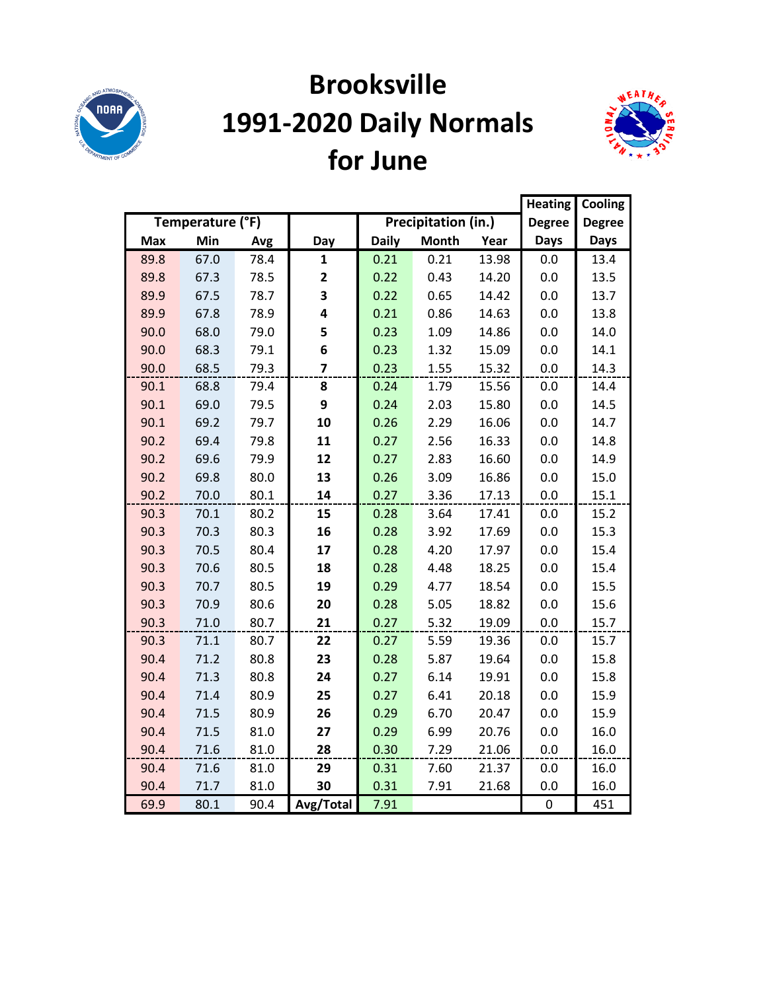

# **Brooksville 1991-2020 Daily Normals for June**



|            |                  |      |                |              |                     | <b>Heating</b> | Cooling       |               |
|------------|------------------|------|----------------|--------------|---------------------|----------------|---------------|---------------|
|            | Temperature (°F) |      |                |              | Precipitation (in.) |                | <b>Degree</b> | <b>Degree</b> |
| <b>Max</b> | Min              | Avg  | Day            | <b>Daily</b> | <b>Month</b>        | Year           | <b>Days</b>   | <b>Days</b>   |
| 89.8       | 67.0             | 78.4 | $\mathbf{1}$   | 0.21         | 0.21                | 13.98          | 0.0           | 13.4          |
| 89.8       | 67.3             | 78.5 | 2              | 0.22         | 0.43                | 14.20          | 0.0           | 13.5          |
| 89.9       | 67.5             | 78.7 | 3              | 0.22         | 0.65                | 14.42          | 0.0           | 13.7          |
| 89.9       | 67.8             | 78.9 | 4              | 0.21         | 0.86                | 14.63          | 0.0           | 13.8          |
| 90.0       | 68.0             | 79.0 | 5              | 0.23         | 1.09                | 14.86          | 0.0           | 14.0          |
| 90.0       | 68.3             | 79.1 | 6              | 0.23         | 1.32                | 15.09          | 0.0           | 14.1          |
| 90.0       | 68.5             | 79.3 | $\overline{7}$ | 0.23         | 1.55                | 15.32          | 0.0           | 14.3          |
| 90.1       | 68.8             | 79.4 | 8              | 0.24         | 1.79                | 15.56          | 0.0           | 14.4          |
| 90.1       | 69.0             | 79.5 | 9              | 0.24         | 2.03                | 15.80          | 0.0           | 14.5          |
| 90.1       | 69.2             | 79.7 | 10             | 0.26         | 2.29                | 16.06          | 0.0           | 14.7          |
| 90.2       | 69.4             | 79.8 | 11             | 0.27         | 2.56                | 16.33          | 0.0           | 14.8          |
| 90.2       | 69.6             | 79.9 | 12             | 0.27         | 2.83                | 16.60          | 0.0           | 14.9          |
| 90.2       | 69.8             | 80.0 | 13             | 0.26         | 3.09                | 16.86          | 0.0           | 15.0          |
| 90.2       | 70.0             | 80.1 | 14             | 0.27         | 3.36                | 17.13          | 0.0           | 15.1          |
| 90.3       | 70.1             | 80.2 | 15             | 0.28         | 3.64                | 17.41          | 0.0           | 15.2          |
| 90.3       | 70.3             | 80.3 | 16             | 0.28         | 3.92                | 17.69          | 0.0           | 15.3          |
| 90.3       | 70.5             | 80.4 | 17             | 0.28         | 4.20                | 17.97          | 0.0           | 15.4          |
| 90.3       | 70.6             | 80.5 | 18             | 0.28         | 4.48                | 18.25          | 0.0           | 15.4          |
| 90.3       | 70.7             | 80.5 | 19             | 0.29         | 4.77                | 18.54          | 0.0           | 15.5          |
| 90.3       | 70.9             | 80.6 | 20             | 0.28         | 5.05                | 18.82          | 0.0           | 15.6          |
| 90.3       | 71.0             | 80.7 | 21             | 0.27         | 5.32                | 19.09          | 0.0           | 15.7          |
| 90.3       | 71.1             | 80.7 | 22             | 0.27         | 5.59                | 19.36          | 0.0           | 15.7          |
| 90.4       | 71.2             | 80.8 | 23             | 0.28         | 5.87                | 19.64          | 0.0           | 15.8          |
| 90.4       | 71.3             | 80.8 | 24             | 0.27         | 6.14                | 19.91          | 0.0           | 15.8          |
| 90.4       | 71.4             | 80.9 | 25             | 0.27         | 6.41                | 20.18          | 0.0           | 15.9          |
| 90.4       | 71.5             | 80.9 | 26             | 0.29         | 6.70                | 20.47          | 0.0           | 15.9          |
| 90.4       | 71.5             | 81.0 | 27             | 0.29         | 6.99                | 20.76          | 0.0           | 16.0          |
| 90.4       | 71.6             | 81.0 | 28             | 0.30         | 7.29                | 21.06          | 0.0           | 16.0          |
| 90.4       | 71.6             | 81.0 | 29             | 0.31         | 7.60                | 21.37          | 0.0           | 16.0          |
| 90.4       | 71.7             | 81.0 | 30             | 0.31         | 7.91                | 21.68          | 0.0           | 16.0          |
| 69.9       | 80.1             | 90.4 | Avg/Total      | 7.91         |                     |                | $\pmb{0}$     | 451           |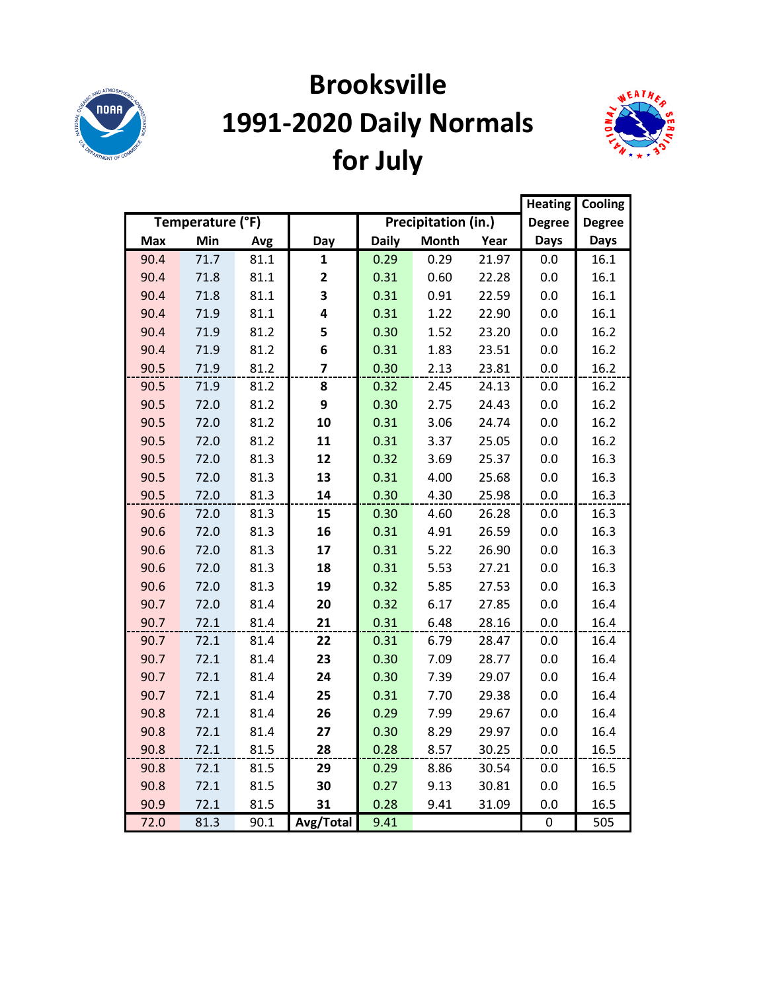

# **Brooksville 1991-2020 Daily Normals for July**



|            |                  | <b>Heating</b> | Cooling                 |              |                     |       |               |               |
|------------|------------------|----------------|-------------------------|--------------|---------------------|-------|---------------|---------------|
|            | Temperature (°F) |                |                         |              | Precipitation (in.) |       | <b>Degree</b> | <b>Degree</b> |
| <b>Max</b> | Min              | Avg            | Day                     | <b>Daily</b> | <b>Month</b>        | Year  | <b>Days</b>   | <b>Days</b>   |
| 90.4       | 71.7             | 81.1           | $\mathbf{1}$            | 0.29         | 0.29                | 21.97 | 0.0           | 16.1          |
| 90.4       | 71.8             | 81.1           | $\mathbf{2}$            | 0.31         | 0.60                | 22.28 | 0.0           | 16.1          |
| 90.4       | 71.8             | 81.1           | 3                       | 0.31         | 0.91                | 22.59 | 0.0           | 16.1          |
| 90.4       | 71.9             | 81.1           | 4                       | 0.31         | 1.22                | 22.90 | 0.0           | 16.1          |
| 90.4       | 71.9             | 81.2           | 5                       | 0.30         | 1.52                | 23.20 | 0.0           | 16.2          |
| 90.4       | 71.9             | 81.2           | 6                       | 0.31         | 1.83                | 23.51 | 0.0           | 16.2          |
| 90.5       | 71.9             | 81.2           | $\overline{\mathbf{z}}$ | 0.30         | 2.13                | 23.81 | 0.0           | 16.2          |
| 90.5       | 71.9             | 81.2           | 8                       | 0.32         | 2.45                | 24.13 | 0.0           | 16.2          |
| 90.5       | 72.0             | 81.2           | 9                       | 0.30         | 2.75                | 24.43 | 0.0           | 16.2          |
| 90.5       | 72.0             | 81.2           | 10                      | 0.31         | 3.06                | 24.74 | 0.0           | 16.2          |
| 90.5       | 72.0             | 81.2           | 11                      | 0.31         | 3.37                | 25.05 | 0.0           | 16.2          |
| 90.5       | 72.0             | 81.3           | 12                      | 0.32         | 3.69                | 25.37 | 0.0           | 16.3          |
| 90.5       | 72.0             | 81.3           | 13                      | 0.31         | 4.00                | 25.68 | 0.0           | 16.3          |
| 90.5       | 72.0             | 81.3           | 14                      | 0.30         | 4.30                | 25.98 | 0.0           | 16.3          |
| 90.6       | 72.0             | 81.3           | 15                      | 0.30         | 4.60                | 26.28 | 0.0           | 16.3          |
| 90.6       | 72.0             | 81.3           | 16                      | 0.31         | 4.91                | 26.59 | 0.0           | 16.3          |
| 90.6       | 72.0             | 81.3           | 17                      | 0.31         | 5.22                | 26.90 | 0.0           | 16.3          |
| 90.6       | 72.0             | 81.3           | 18                      | 0.31         | 5.53                | 27.21 | 0.0           | 16.3          |
| 90.6       | 72.0             | 81.3           | 19                      | 0.32         | 5.85                | 27.53 | 0.0           | 16.3          |
| 90.7       | 72.0             | 81.4           | 20                      | 0.32         | 6.17                | 27.85 | 0.0           | 16.4          |
| 90.7       | 72.1             | 81.4           | 21                      | 0.31         | 6.48                | 28.16 | 0.0           | 16.4          |
| 90.7       | 72.1             | 81.4           | 22                      | 0.31         | 6.79                | 28.47 | 0.0           | 16.4          |
| 90.7       | 72.1             | 81.4           | 23                      | 0.30         | 7.09                | 28.77 | 0.0           | 16.4          |
| 90.7       | 72.1             | 81.4           | 24                      | 0.30         | 7.39                | 29.07 | 0.0           | 16.4          |
| 90.7       | 72.1             | 81.4           | 25                      | 0.31         | 7.70                | 29.38 | 0.0           | 16.4          |
| 90.8       | 72.1             | 81.4           | 26                      | 0.29         | 7.99                | 29.67 | 0.0           | 16.4          |
| 90.8       | 72.1             | 81.4           | 27                      | 0.30         | 8.29                | 29.97 | 0.0           | 16.4          |
| 90.8       | 72.1             | 81.5           | 28                      | 0.28         | 8.57                | 30.25 | 0.0           | 16.5          |
| 90.8       | 72.1             | 81.5           | 29                      | 0.29         | 8.86                | 30.54 | 0.0           | 16.5          |
| 90.8       | 72.1             | 81.5           | 30                      | 0.27         | 9.13                | 30.81 | 0.0           | 16.5          |
| 90.9       | 72.1             | 81.5           | 31                      | 0.28         | 9.41                | 31.09 | 0.0           | 16.5          |
| 72.0       | 81.3             | 90.1           | Avg/Total               | 9.41         |                     |       | 0             | 505           |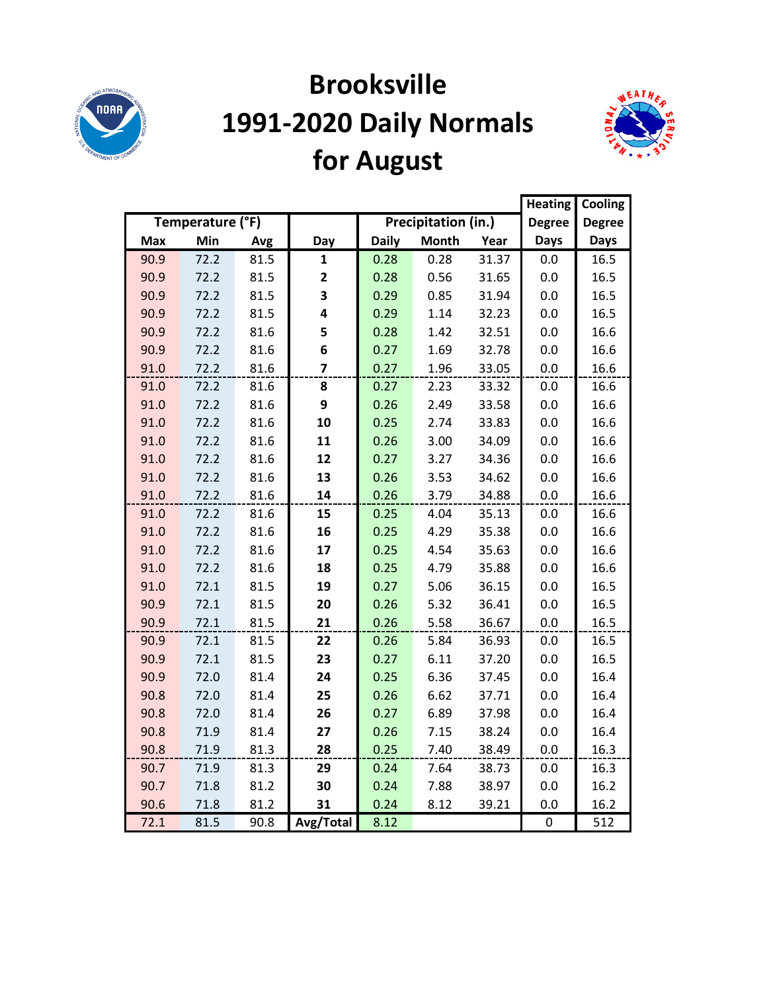

# **Brooksville 1991-2020 Daily Normals for August**



|            |                  |      |              |              |                     |       | <b>Heating</b> | Cooling       |
|------------|------------------|------|--------------|--------------|---------------------|-------|----------------|---------------|
|            | Temperature (°F) |      |              |              | Precipitation (in.) |       | <b>Degree</b>  | <b>Degree</b> |
| <b>Max</b> | Min              | Avg  | Day          | <b>Daily</b> | <b>Month</b>        | Year  | <b>Days</b>    | <b>Days</b>   |
| 90.9       | 72.2             | 81.5 | 1            | 0.28         | 0.28                | 31.37 | 0.0            | 16.5          |
| 90.9       | 72.2             | 81.5 | $\mathbf{2}$ | 0.28         | 0.56                | 31.65 | 0.0            | 16.5          |
| 90.9       | 72.2             | 81.5 | 3            | 0.29         | 0.85                | 31.94 | 0.0            | 16.5          |
| 90.9       | 72.2             | 81.5 | 4            | 0.29         | 1.14                | 32.23 | 0.0            | 16.5          |
| 90.9       | 72.2             | 81.6 | 5            | 0.28         | 1.42                | 32.51 | 0.0            | 16.6          |
| 90.9       | 72.2             | 81.6 | 6            | 0.27         | 1.69                | 32.78 | 0.0            | 16.6          |
| 91.0       | 72.2             | 81.6 | 7            | 0.27         | 1.96                | 33.05 | $0.0\,$        | 16.6          |
| 91.0       | 72.2             | 81.6 | 8            | 0.27         | 2.23                | 33.32 | 0.0            | 16.6          |
| 91.0       | 72.2             | 81.6 | 9            | 0.26         | 2.49                | 33.58 | 0.0            | 16.6          |
| 91.0       | 72.2             | 81.6 | 10           | 0.25         | 2.74                | 33.83 | 0.0            | 16.6          |
| 91.0       | 72.2             | 81.6 | 11           | 0.26         | 3.00                | 34.09 | 0.0            | 16.6          |
| 91.0       | 72.2             | 81.6 | 12           | 0.27         | 3.27                | 34.36 | 0.0            | 16.6          |
| 91.0       | 72.2             | 81.6 | 13           | 0.26         | 3.53                | 34.62 | 0.0            | 16.6          |
| 91.0       | 72.2             | 81.6 | 14           | 0.26         | 3.79                | 34.88 | 0.0            | 16.6          |
| 91.0       | 72.2             | 81.6 | 15           | 0.25         | 4.04                | 35.13 | 0.0            | 16.6          |
| 91.0       | 72.2             | 81.6 | 16           | 0.25         | 4.29                | 35.38 | 0.0            | 16.6          |
| 91.0       | 72.2             | 81.6 | 17           | 0.25         | 4.54                | 35.63 | 0.0            | 16.6          |
| 91.0       | 72.2             | 81.6 | 18           | 0.25         | 4.79                | 35.88 | 0.0            | 16.6          |
| 91.0       | 72.1             | 81.5 | 19           | 0.27         | 5.06                | 36.15 | 0.0            | 16.5          |
| 90.9       | 72.1             | 81.5 | 20           | 0.26         | 5.32                | 36.41 | 0.0            | 16.5          |
| 90.9       | 72.1             | 81.5 | 21           | 0.26         | 5.58                | 36.67 | 0.0            | 16.5          |
| 90.9       | 72.1             | 81.5 | 22           | 0.26         | 5.84                | 36.93 | 0.0            | 16.5          |
| 90.9       | 72.1             | 81.5 | 23           | 0.27         | 6.11                | 37.20 | 0.0            | 16.5          |
| 90.9       | 72.0             | 81.4 | 24           | 0.25         | 6.36                | 37.45 | 0.0            | 16.4          |
| 90.8       | 72.0             | 81.4 | 25           | 0.26         | 6.62                | 37.71 | 0.0            | 16.4          |
| 90.8       | 72.0             | 81.4 | 26           | 0.27         | 6.89                | 37.98 | 0.0            | 16.4          |
| 90.8       | 71.9             | 81.4 | 27           | 0.26         | 7.15                | 38.24 | 0.0            | 16.4          |
| 90.8       | 71.9             | 81.3 | 28           | 0.25         | 7.40                | 38.49 | 0.0            | 16.3          |
| 90.7       | 71.9             | 81.3 | 29           | 0.24         | 7.64                | 38.73 | 0.0            | 16.3          |
| 90.7       | 71.8             | 81.2 | 30           | 0.24         | 7.88                | 38.97 | 0.0            | 16.2          |
| 90.6       | 71.8             | 81.2 | 31           | 0.24         | 8.12                | 39.21 | 0.0            | 16.2          |
| 72.1       | 81.5             | 90.8 | Avg/Total    | 8.12         |                     |       | 0              | 512           |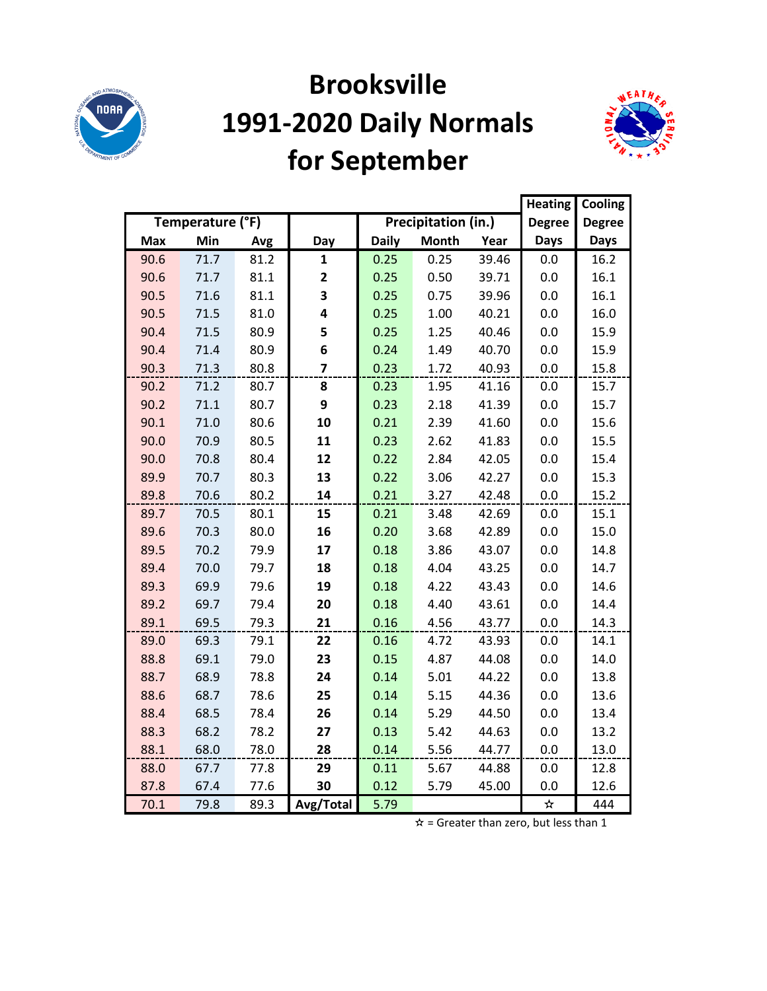

## **Brooksville 1991-2020 Daily Normals for September**



|            |                  |      |                |              |                     |       | <b>Heating</b> | Cooling       |
|------------|------------------|------|----------------|--------------|---------------------|-------|----------------|---------------|
|            | Temperature (°F) |      |                |              | Precipitation (in.) |       | <b>Degree</b>  | <b>Degree</b> |
| <b>Max</b> | Min              | Avg  | Day            | <b>Daily</b> | <b>Month</b>        | Year  | <b>Days</b>    | <b>Days</b>   |
| 90.6       | 71.7             | 81.2 | 1              | 0.25         | 0.25                | 39.46 | 0.0            | 16.2          |
| 90.6       | 71.7             | 81.1 | 2              | 0.25         | 0.50                | 39.71 | 0.0            | 16.1          |
| 90.5       | 71.6             | 81.1 | 3              | 0.25         | 0.75                | 39.96 | 0.0            | 16.1          |
| 90.5       | 71.5             | 81.0 | 4              | 0.25         | 1.00                | 40.21 | 0.0            | 16.0          |
| 90.4       | 71.5             | 80.9 | 5              | 0.25         | 1.25                | 40.46 | 0.0            | 15.9          |
| 90.4       | 71.4             | 80.9 | 6              | 0.24         | 1.49                | 40.70 | 0.0            | 15.9          |
| 90.3       | 71.3             | 80.8 | $\overline{7}$ | 0.23         | 1.72                | 40.93 | 0.0            | 15.8          |
| 90.2       | 71.2             | 80.7 | 8              | 0.23         | 1.95                | 41.16 | 0.0            | 15.7          |
| 90.2       | 71.1             | 80.7 | 9              | 0.23         | 2.18                | 41.39 | 0.0            | 15.7          |
| 90.1       | 71.0             | 80.6 | 10             | 0.21         | 2.39                | 41.60 | 0.0            | 15.6          |
| 90.0       | 70.9             | 80.5 | 11             | 0.23         | 2.62                | 41.83 | 0.0            | 15.5          |
| 90.0       | 70.8             | 80.4 | 12             | 0.22         | 2.84                | 42.05 | 0.0            | 15.4          |
| 89.9       | 70.7             | 80.3 | 13             | 0.22         | 3.06                | 42.27 | 0.0            | 15.3          |
| 89.8       | 70.6             | 80.2 | 14             | 0.21         | 3.27                | 42.48 | 0.0            | 15.2          |
| 89.7       | 70.5             | 80.1 | 15             | 0.21         | 3.48                | 42.69 | 0.0            | 15.1          |
| 89.6       | 70.3             | 80.0 | 16             | 0.20         | 3.68                | 42.89 | 0.0            | 15.0          |
| 89.5       | 70.2             | 79.9 | 17             | 0.18         | 3.86                | 43.07 | 0.0            | 14.8          |
| 89.4       | 70.0             | 79.7 | 18             | 0.18         | 4.04                | 43.25 | 0.0            | 14.7          |
| 89.3       | 69.9             | 79.6 | 19             | 0.18         | 4.22                | 43.43 | 0.0            | 14.6          |
| 89.2       | 69.7             | 79.4 | 20             | 0.18         | 4.40                | 43.61 | 0.0            | 14.4          |
| 89.1       | 69.5             | 79.3 | 21             | 0.16         | 4.56                | 43.77 | 0.0            | 14.3          |
| 89.0       | 69.3             | 79.1 | 22             | 0.16         | 4.72                | 43.93 | 0.0            | 14.1          |
| 88.8       | 69.1             | 79.0 | 23             | 0.15         | 4.87                | 44.08 | 0.0            | 14.0          |
| 88.7       | 68.9             | 78.8 | 24             | 0.14         | 5.01                | 44.22 | 0.0            | 13.8          |
| 88.6       | 68.7             | 78.6 | 25             | 0.14         | 5.15                | 44.36 | 0.0            | 13.6          |
| 88.4       | 68.5             | 78.4 | 26             | 0.14         | 5.29                | 44.50 | 0.0            | 13.4          |
| 88.3       | 68.2             | 78.2 | 27             | 0.13         | 5.42                | 44.63 | 0.0            | 13.2          |
| 88.1       | 68.0             | 78.0 | 28             | 0.14         | 5.56                | 44.77 | 0.0            | 13.0          |
| 88.0       | 67.7             | 77.8 | 29             | 0.11         | 5.67                | 44.88 | 0.0            | 12.8          |
| 87.8       | 67.4             | 77.6 | 30             | 0.12         | 5.79                | 45.00 | 0.0            | 12.6          |
| 70.1       | 79.8             | 89.3 | Avg/Total      | 5.79         |                     |       | $\bigstar$     | 444           |

 $\hat{x}$  = Greater than zero, but less than 1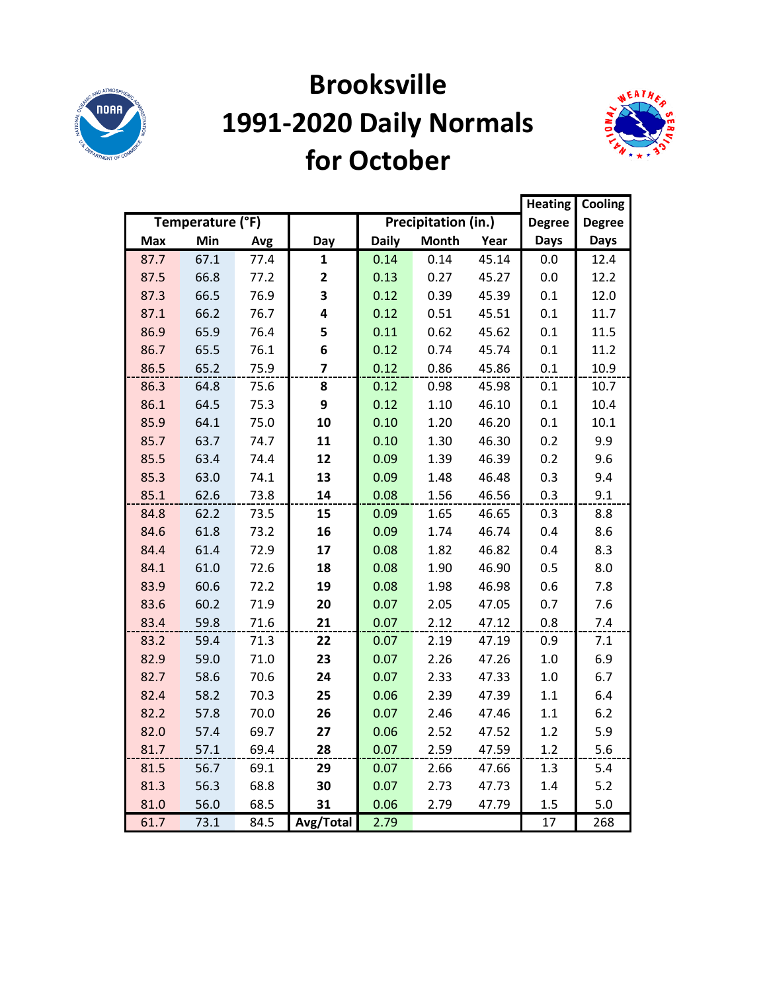

#### **Brooksville 1991-2020 Daily Normals for October**



|            |                  |      |                         |              |                     |       | <b>Heating</b> | Cooling       |
|------------|------------------|------|-------------------------|--------------|---------------------|-------|----------------|---------------|
|            | Temperature (°F) |      |                         |              | Precipitation (in.) |       | <b>Degree</b>  | <b>Degree</b> |
| <b>Max</b> | Min              | Avg  | Day                     | <b>Daily</b> | <b>Month</b>        | Year  | <b>Days</b>    | <b>Days</b>   |
| 87.7       | 67.1             | 77.4 | $\mathbf{1}$            | 0.14         | 0.14                | 45.14 | 0.0            | 12.4          |
| 87.5       | 66.8             | 77.2 | $\mathbf{2}$            | 0.13         | 0.27                | 45.27 | 0.0            | 12.2          |
| 87.3       | 66.5             | 76.9 | 3                       | 0.12         | 0.39                | 45.39 | 0.1            | 12.0          |
| 87.1       | 66.2             | 76.7 | 4                       | 0.12         | 0.51                | 45.51 | 0.1            | 11.7          |
| 86.9       | 65.9             | 76.4 | 5                       | 0.11         | 0.62                | 45.62 | 0.1            | 11.5          |
| 86.7       | 65.5             | 76.1 | 6                       | 0.12         | 0.74                | 45.74 | 0.1            | 11.2          |
| 86.5       | 65.2             | 75.9 | $\overline{\mathbf{z}}$ | 0.12         | 0.86                | 45.86 | 0.1            | 10.9          |
| 86.3       | 64.8             | 75.6 | 8                       | 0.12         | 0.98                | 45.98 | 0.1            | 10.7          |
| 86.1       | 64.5             | 75.3 | 9                       | 0.12         | 1.10                | 46.10 | 0.1            | 10.4          |
| 85.9       | 64.1             | 75.0 | 10                      | 0.10         | 1.20                | 46.20 | 0.1            | 10.1          |
| 85.7       | 63.7             | 74.7 | 11                      | 0.10         | 1.30                | 46.30 | 0.2            | 9.9           |
| 85.5       | 63.4             | 74.4 | 12                      | 0.09         | 1.39                | 46.39 | 0.2            | 9.6           |
| 85.3       | 63.0             | 74.1 | 13                      | 0.09         | 1.48                | 46.48 | 0.3            | 9.4           |
| 85.1       | 62.6             | 73.8 | 14                      | 0.08         | 1.56                | 46.56 | 0.3            | 9.1           |
| 84.8       | 62.2             | 73.5 | 15                      | 0.09         | 1.65                | 46.65 | 0.3            | 8.8           |
| 84.6       | 61.8             | 73.2 | 16                      | 0.09         | 1.74                | 46.74 | 0.4            | 8.6           |
| 84.4       | 61.4             | 72.9 | 17                      | 0.08         | 1.82                | 46.82 | 0.4            | 8.3           |
| 84.1       | 61.0             | 72.6 | 18                      | 0.08         | 1.90                | 46.90 | 0.5            | 8.0           |
| 83.9       | 60.6             | 72.2 | 19                      | 0.08         | 1.98                | 46.98 | 0.6            | 7.8           |
| 83.6       | 60.2             | 71.9 | 20                      | 0.07         | 2.05                | 47.05 | 0.7            | 7.6           |
| 83.4       | 59.8             | 71.6 | 21                      | 0.07         | 2.12                | 47.12 | 0.8            | 7.4           |
| 83.2       | 59.4             | 71.3 | 22                      | 0.07         | 2.19                | 47.19 | 0.9            | 7.1           |
| 82.9       | 59.0             | 71.0 | 23                      | 0.07         | 2.26                | 47.26 | 1.0            | 6.9           |
| 82.7       | 58.6             | 70.6 | 24                      | 0.07         | 2.33                | 47.33 | 1.0            | 6.7           |
| 82.4       | 58.2             | 70.3 | 25                      | 0.06         | 2.39                | 47.39 | 1.1            | 6.4           |
| 82.2       | 57.8             | 70.0 | 26                      | 0.07         | 2.46                | 47.46 | 1.1            | 6.2           |
| 82.0       | 57.4             | 69.7 | 27                      | 0.06         | 2.52                | 47.52 | 1.2            | 5.9           |
| 81.7       | 57.1             | 69.4 | 28                      | 0.07         | 2.59                | 47.59 | 1.2            | 5.6           |
| 81.5       | 56.7             | 69.1 | 29                      | 0.07         | 2.66                | 47.66 | 1.3            | 5.4           |
| 81.3       | 56.3             | 68.8 | 30                      | 0.07         | 2.73                | 47.73 | 1.4            | 5.2           |
| 81.0       | 56.0             | 68.5 | 31                      | 0.06         | 2.79                | 47.79 | 1.5            | 5.0           |
| 61.7       | 73.1             | 84.5 | Avg/Total               | 2.79         |                     |       | 17             | 268           |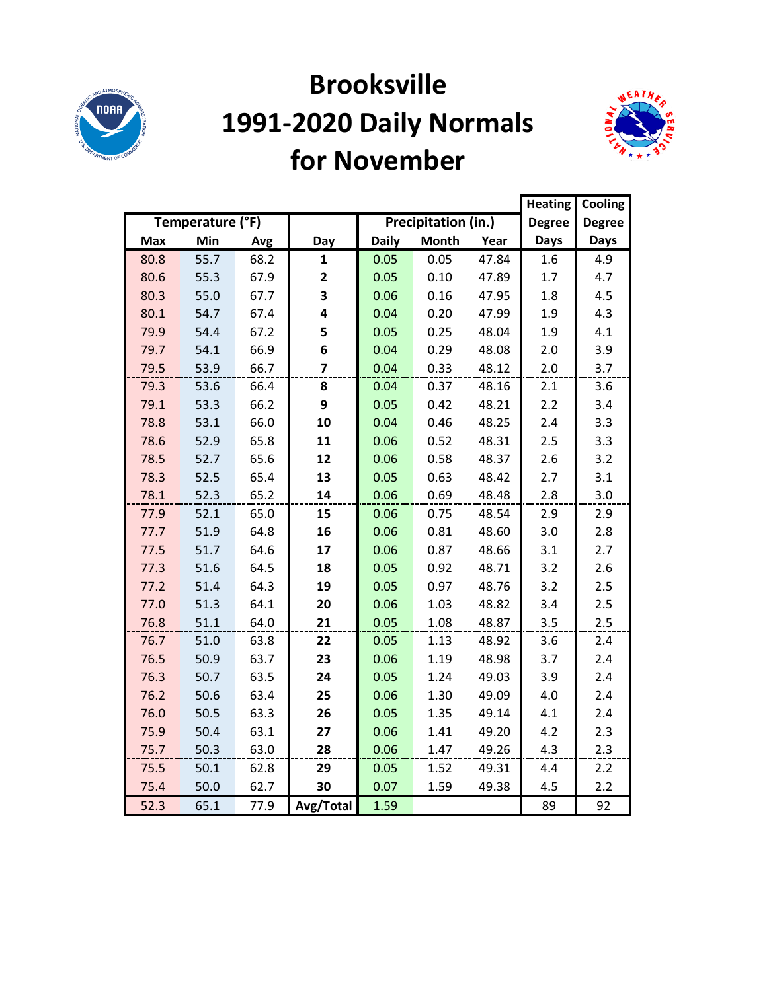

#### **Brooksville 1991-2020 Daily Normals for November**



|            |                  |      |                |              |                     |       | <b>Heating</b> | Cooling       |
|------------|------------------|------|----------------|--------------|---------------------|-------|----------------|---------------|
|            | Temperature (°F) |      |                |              | Precipitation (in.) |       | <b>Degree</b>  | <b>Degree</b> |
| <b>Max</b> | Min              | Avg  | Day            | <b>Daily</b> | <b>Month</b>        | Year  | <b>Days</b>    | <b>Days</b>   |
| 80.8       | 55.7             | 68.2 | $\mathbf{1}$   | 0.05         | 0.05                | 47.84 | 1.6            | 4.9           |
| 80.6       | 55.3             | 67.9 | $\mathbf{2}$   | 0.05         | 0.10                | 47.89 | 1.7            | 4.7           |
| 80.3       | 55.0             | 67.7 | 3              | 0.06         | 0.16                | 47.95 | 1.8            | 4.5           |
| 80.1       | 54.7             | 67.4 | 4              | 0.04         | 0.20                | 47.99 | 1.9            | 4.3           |
| 79.9       | 54.4             | 67.2 | 5              | 0.05         | 0.25                | 48.04 | 1.9            | 4.1           |
| 79.7       | 54.1             | 66.9 | 6              | 0.04         | 0.29                | 48.08 | 2.0            | 3.9           |
| 79.5       | 53.9             | 66.7 | $\overline{7}$ | 0.04         | 0.33                | 48.12 | 2.0            | 3.7           |
| 79.3       | 53.6             | 66.4 | 8              | 0.04         | 0.37                | 48.16 | 2.1            | 3.6           |
| 79.1       | 53.3             | 66.2 | 9              | 0.05         | 0.42                | 48.21 | 2.2            | 3.4           |
| 78.8       | 53.1             | 66.0 | 10             | 0.04         | 0.46                | 48.25 | 2.4            | 3.3           |
| 78.6       | 52.9             | 65.8 | 11             | 0.06         | 0.52                | 48.31 | 2.5            | 3.3           |
| 78.5       | 52.7             | 65.6 | 12             | 0.06         | 0.58                | 48.37 | 2.6            | 3.2           |
| 78.3       | 52.5             | 65.4 | 13             | 0.05         | 0.63                | 48.42 | 2.7            | 3.1           |
| 78.1       | 52.3             | 65.2 | 14             | 0.06         | 0.69                | 48.48 | 2.8            | 3.0           |
| 77.9       | 52.1             | 65.0 | 15             | 0.06         | 0.75                | 48.54 | 2.9            | 2.9           |
| 77.7       | 51.9             | 64.8 | 16             | 0.06         | 0.81                | 48.60 | 3.0            | 2.8           |
| 77.5       | 51.7             | 64.6 | 17             | 0.06         | 0.87                | 48.66 | 3.1            | 2.7           |
| 77.3       | 51.6             | 64.5 | 18             | 0.05         | 0.92                | 48.71 | 3.2            | 2.6           |
| 77.2       | 51.4             | 64.3 | 19             | 0.05         | 0.97                | 48.76 | 3.2            | 2.5           |
| 77.0       | 51.3             | 64.1 | 20             | 0.06         | 1.03                | 48.82 | 3.4            | 2.5           |
| 76.8       | 51.1             | 64.0 | 21             | 0.05         | 1.08                | 48.87 | 3.5            | 2.5           |
| 76.7       | 51.0             | 63.8 | 22             | 0.05         | 1.13                | 48.92 | 3.6            | 2.4           |
| 76.5       | 50.9             | 63.7 | 23             | 0.06         | 1.19                | 48.98 | 3.7            | 2.4           |
| 76.3       | 50.7             | 63.5 | 24             | 0.05         | 1.24                | 49.03 | 3.9            | 2.4           |
| 76.2       | 50.6             | 63.4 | 25             | 0.06         | 1.30                | 49.09 | 4.0            | 2.4           |
| 76.0       | 50.5             | 63.3 | 26             | 0.05         | 1.35                | 49.14 | 4.1            | 2.4           |
| 75.9       | 50.4             | 63.1 | 27             | 0.06         | 1.41                | 49.20 | 4.2            | 2.3           |
| 75.7       | 50.3             | 63.0 | 28             | 0.06         | 1.47                | 49.26 | 4.3            | 2.3           |
| 75.5       | 50.1             | 62.8 | 29             | 0.05         | 1.52                | 49.31 | 4.4            | 2.2           |
| 75.4       | 50.0             | 62.7 | 30             | 0.07         | 1.59                | 49.38 | 4.5            | 2.2           |
| 52.3       | 65.1             | 77.9 | Avg/Total      | 1.59         |                     |       | 89             | 92            |